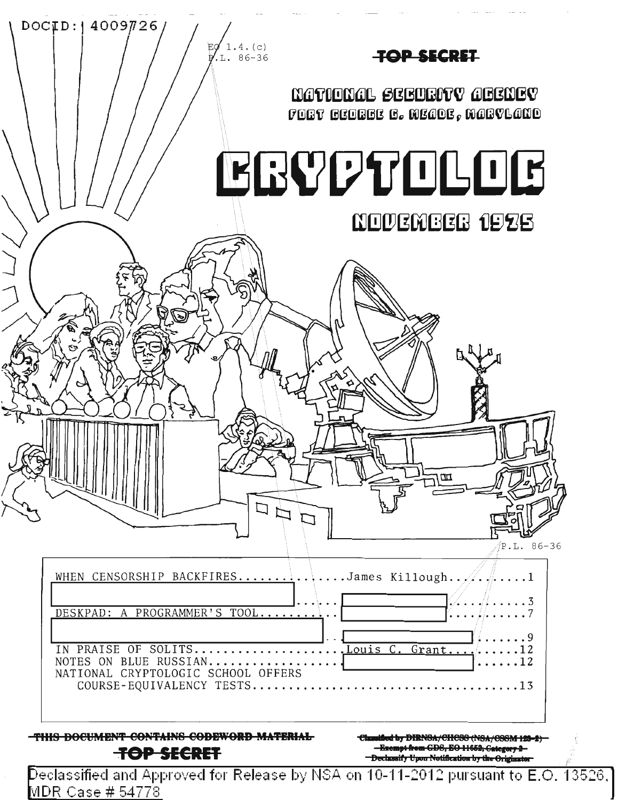

Declassified and Approved for Release by NSA on 10-11-2012 pursuant to E.O. 13526,  $\overline{ }$ MDR Case # 54778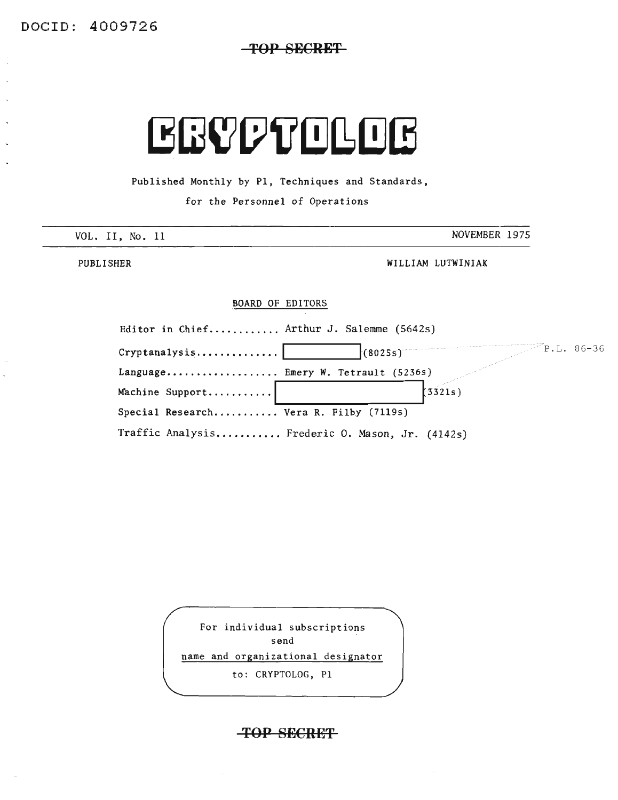**TOP SECRET**

# EBVDTOLOB

Published Monthly by PI, Techniques and Standards,

for the Personnel of Operations

| VOL. II,<br>No. 11 | NOVEMBER 1975 |
|--------------------|---------------|
| _____<br>_____     |               |

PUBLISHER WILLIAM LUTWINIAK

#### BOARD OF EDITORS

| Editor in Chief Arthur J. Salemme (5642s) |                                                 |
|-------------------------------------------|-------------------------------------------------|
| Cryptanalysis                             | $P.L. 86-36$<br>(8025s)                         |
| Language Emery W. Tetrault (5236s)        |                                                 |
| Machine Support                           | 13321s                                          |
| Special Research Vera R. Filby (7119s)    |                                                 |
|                                           | Traffic Analysis Frederic O. Mason, Jr. (4142s) |

For individual subscriptions send

name and organizational designator

to: CRYPTOLOG, PI

#### **TOP SECRET**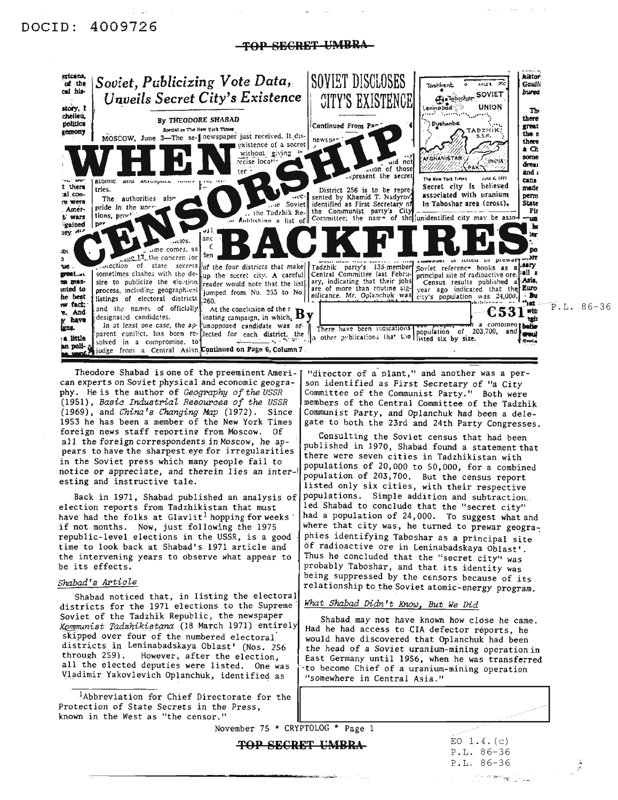### DOClD: 4009726

-TOP SECRET UMBRA-



Theodore Shabad is one of the preeminent American experts on Soviet physical and economic geography. He is the author of *Geogrophy of the USSR (1951), Basic Industrial Resoupces of the USSR* (1969), and *China's Changing Map* (1972). Since 1953 he has been a member of the New York Times foreign news staff reporting from MOscow. Of all the foreign correspondents in Moscow, he appears to have the sharpest eye for irregularities in the Soviet press which many people fail to notice or appreciate, and therein lies an interesting and instructive tale.

Back in 1971, Shabad published an analysis of election reports from Tadzhikistan that must have had the folks at  $G$ lavlit<sup>1</sup> hopping for weeks if not months. Now, just following the <sup>1975</sup> republic-level elections in the USSR, is a good time to look back at Shabad's 1971 article and the intervening years to observe what appear to be its effects.

#### *Shabad's Article*

Shabad noticed that, in listing the electoral districts for the 1971 elections to the Supreme' *What Shabad Didn't Know, But We Did* Soviet of the Tadzhik Republic, the newspaper Shabad may not have known how close he came. *KOmmunist Tadzhikistana* (18 March 1971) entirely Had he had access to CIA defector reports, he districts in Leninabadskaya Oblast' (Nos. 256<br>through 259). However, after the election. all the elected deputies were listed. One was Vladimir Yakovlevich Oplanchuk, identified as | "somewhere in Central Asia."

lAbbreviation for Chief Directorate for the Protection of State Secrets in the Press, known in the West as "the censor."

"director of a plant," and another was a person identified as First Secretary of "a City Committee of the Communist Party." Both were members of the Central Committee of the Tadzhik Communist Party, and Oplanchuk had been a delegate to both the 23rd and 24th Party Congresses.

Consulting the Soviet census that had been published in 1970, Shabad found a statement that there were seven cities in Tadzhikistan with popUlations of 20,000 to 50,000, for a combined popUlation of 203,700. But the census report listed only six cities, with their respective populations. Simple addition and subtraction. led Shabad to conclude that the "secret city" had a population of 24,000. To suggest what and where that city was, he turned to prewar geographies identifying Taboshar as a principal site of radioactive ore in Leninabadskaya Oblast'. Thus he concluded that the "secret city" was probably Taboshar, and that its identity was being suppressed by the censors because of its relationship to the Soviet atomic-energy program.

skipped over four of the numbered electoral' would have discovered that Oplanchuk had been<br>districts in Leninabadskaya Oblast' (Nos. 256) the head of a Soviet uranium-mining operation in East Germany until 1956, when he was transferred<br>to become Chief of a uranium-mining operation

November 75 \* CRYPTOLOG \* Page 1

TOP SECRET UMBRA

 $EO~1.4. (c)$ P.L. 86-36 P.L. 86-36 ے میں اور اس کے اس کے اس کے اس کے لئے اس کے اس کے اس کے اس کے اس کے اس کے اس کے اس کے اس کے اس کے اس کے اس کے<br>اس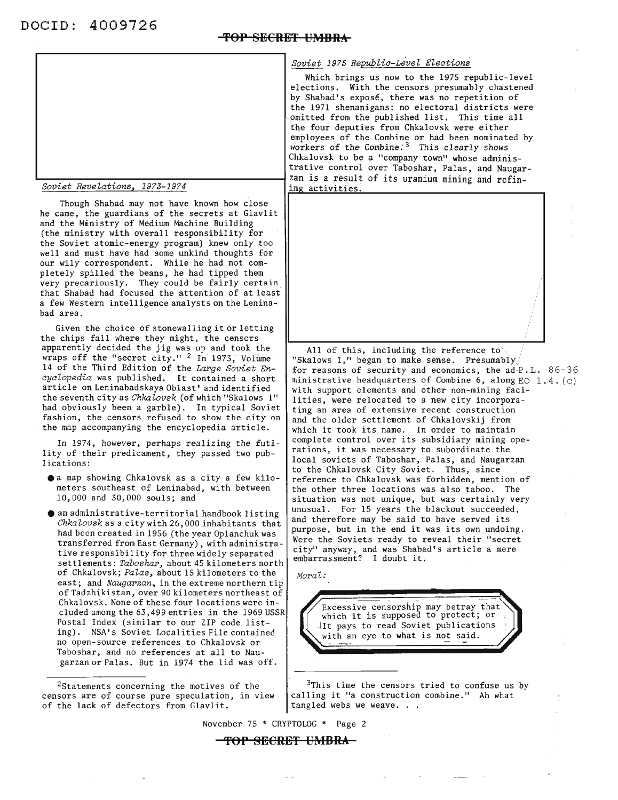DOCID: 4009726<br><del>TOP SECRET UMBRA</del>



#### *Soviet Revelations, 1973-1974*

Though Shabad may not have known how close he came, the guardians of the secrets at Glavlit and the Ministry of Medium Machine Building (the ministry with overall responsibility for the Soviet atomic-energy program) knew only too well and must have had some unkind thoughts for our wily correspondent. While he had not completely spilled the beans, he had tipped them very precariously. They could be fairly certain that Shabad had focused the attention of at least a few Western intelligence analysts on the Leninabad area.

Given the choice of stonewalling it or letting<br>the chips fall where they might, the censors apparently decided the jig was up and took the wraps off the "secret city." <sup>2</sup> In 1973, Volume 14 of the Third Edition of the *Large Soviet EncycZopedia* was published. It contained a short article on Leninabadskaya Oblast' and identified the seventh city as *Chkalovsk* (of which "Skalows I" had obviously been a garble). In typical Soviet fashion, the censors refused to show the city on the map accompanying the encyclopedia article.

In 1974, however, perhaps realizing the futility of their predicament, they passed two publications:

- **ea** map showing Chkalovsk as <sup>a</sup> city <sup>a</sup> few kilometers southeast of Leninabad, with between 10,000 and 30,000 souls; and
- e an administrative-territorial handbook listing *Chkalovsk* as a city with 26, 000 inhabitants that had been created in 1956 (the year Oplanchuk was transferred from East Germany) , with administrative responsibil ity for three widely separated settlements: *Taboshar,* about 45 kilometers north of Chkalovsk; *Palas,* about 15 kilometers to the east; and *Naugarzan*, in the extreme northern tip of Tadzhikistan, over 90 kilometers northeast of Chkalovsk. None of these four locations were included among the 63,499 entries in the 1969 USSR Postal Index (similar to our ZIP code listing). NSA's Soviet Localities File contained no open-source references to Chkalovsk or Taboshar, and no references at all to Naugarzan or Palas. But in 1974 the lid was off.

<sup>2</sup>Statements concerning the motives of the censors are of course pure speculation, in view of the lack of defectors from Glavlit.

*Soviet* 1975 *Republic-Level Elections*

Which brings us now to the 1975 republic-level elections. With the censors presumably chastened by Shabad's exposé, there was no repetition of the 1971 shenanigans: no electoral districts were omitted from the published list. This time all the four deputies from Chkalovsk were either employees of the Combine or had been nominated by workers of the Combine.<sup>3</sup> This clearly shows Chkalovsk to be a "company town" whose administrative Control over Taboshar, Palas, and Naugarzan is a result of its uranium mining and refining activities.



All of this, including the reference to "Skalows I," began to make sense. Presumably for reasons of security and economics, the ad-P.L. 86-36 ministrative headquarters of Combine 6, along  $EO 1.4. (c)$ with support elements and other non-mining facilities, were relocated to a new city incorporating an area of extensive recent construction and the older settlement of Chkalovskij from which it took its name. In order to maintain complete control over its subsidiary mining operations, it was necessary to subordinate the local soviets of Taboshar, Palas, and Naugarzan to the Chkalovsk City Soviet. Thus, since reference to Chkalovsk was forbidden, mention of the other three locations was also taboo. The situation was not unique, but was certainly very unusual. For 15 years the blackout succeeded, and therefore may be said to have served its purpose, but in the end it was its own undoing. Were the Soviets ready to reveal their "secret city" anyway, and was Shabad's article <sup>a</sup> mere embarrassment? <sup>I</sup> doubt it.

*Moral:*

Excessive censorship may betray that<br>which it is supposed to protect; or<br>lit pays to read Soviet publications<br>with an eye to what is not said. which it is supposed to proceed, or  $\frac{1}{\sqrt{2}}$ with an eye to what is not said.

<sup>3</sup>This time the censors tried to confuse us by calling it "a construction combine." Ah what tangled webs we weave. . .

November 75 \* CRYPTOLOG \* Page 2

#### **'fOP** SECRB~ **UMBRA**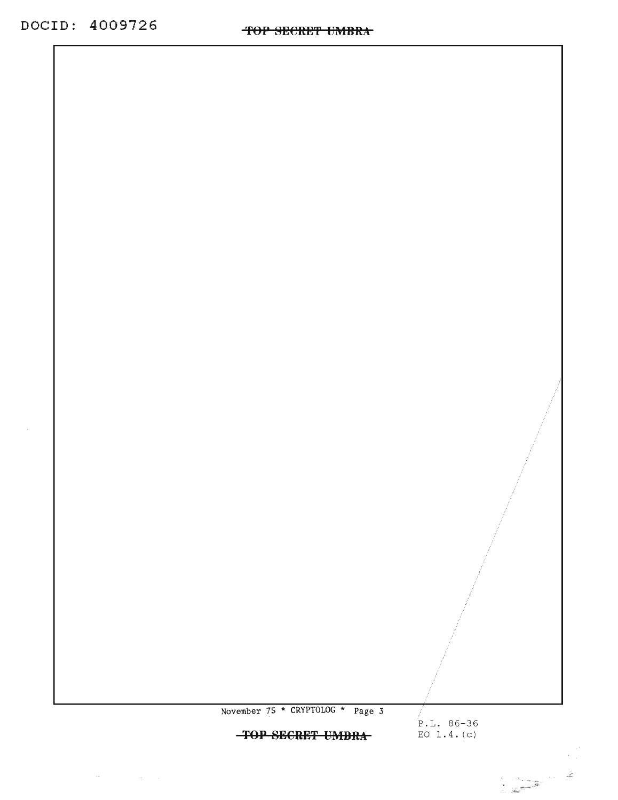// P.L. 86-36 EO  $1.4. (c)$ 

> $\epsilon^*$  $\sigma_{\rm{eff}}$

November 75 \* CRYPTOLOG \* Page 3 **TOP 8BCRB'f UMBRA**

 $\label{eq:1} \mathcal{L}(\mathcal{H}^{\mathcal{L}}_{\mathcal{F}}(\mathcal{F})) = \mathcal{L}(\mathcal{H}^{\mathcal{L}}_{\mathcal{F}}(\mathcal{F})) = \mathcal{L}(\mathcal{F})$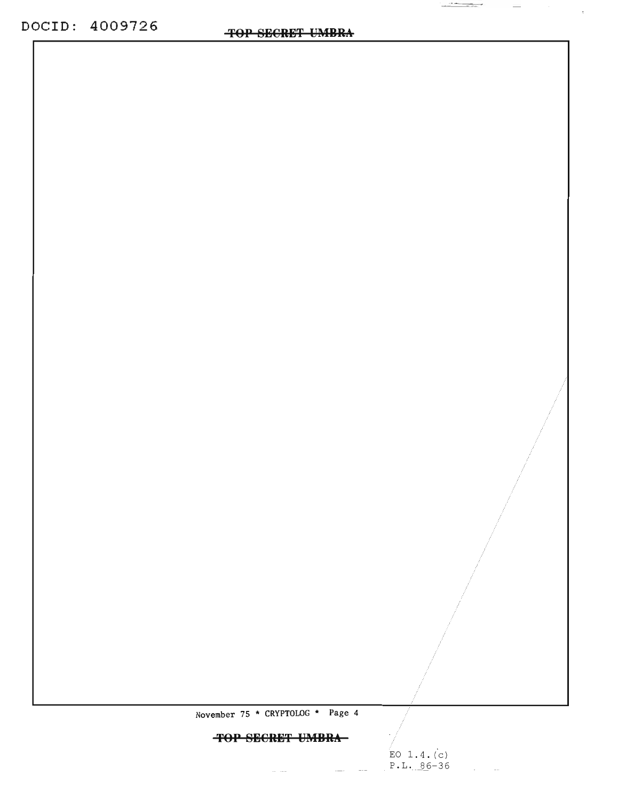$\frac{1}{\sqrt{2\pi}}\frac{1}{\sqrt{2\pi}}\frac{1}{\sqrt{2\pi}}\frac{1}{\sqrt{2\pi}}\frac{1}{\sqrt{2\pi}}\frac{1}{\sqrt{2\pi}}\frac{1}{\sqrt{2\pi}}\frac{1}{\sqrt{2\pi}}\frac{1}{\sqrt{2\pi}}\frac{1}{\sqrt{2\pi}}\frac{1}{\sqrt{2\pi}}\frac{1}{\sqrt{2\pi}}\frac{1}{\sqrt{2\pi}}\frac{1}{\sqrt{2\pi}}\frac{1}{\sqrt{2\pi}}\frac{1}{\sqrt{2\pi}}\frac{1}{\sqrt{2\pi}}\frac{1}{\sqrt{2\pi}}\frac{1$ 

November 75 \* CRYPTOLOG \* Page 4

### **TOP SECRET UMBRA**

 $\alpha$  ,  $\alpha$  ,  $\alpha$  ,  $\alpha$  ,  $\alpha$ 

and the state of the state.

EO 1.4. (c) P.L. 86-36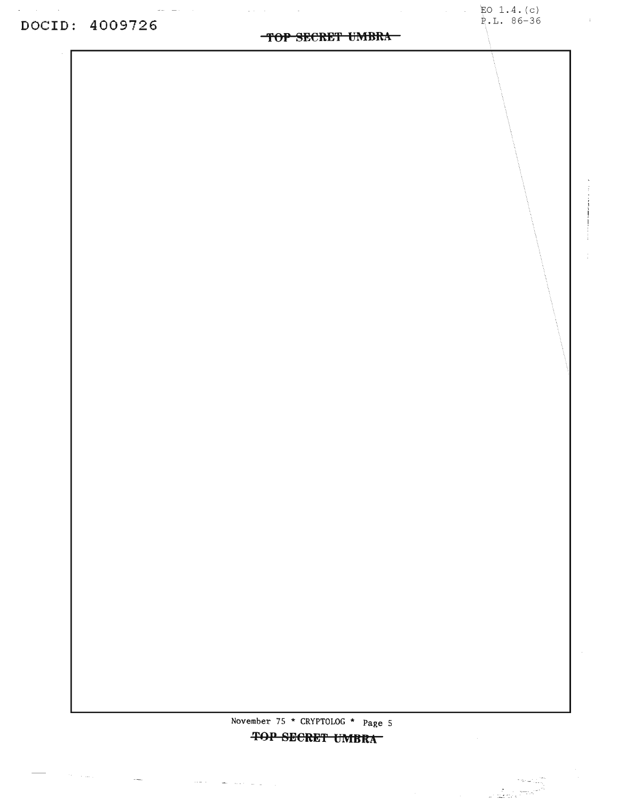$\mathcal{O}(\mathbb{R}^4)$  , and  $\mathcal{O}(\mathbb{R}^4)$ 

 $\sim$   $\sim$ 

### TOP SECRET UMBRA

 $\sqrt{1-\beta}$ 

 $EO 1.4. (c)$ P.L. 86-36

 $\sim$   $^{-1}$ 

November 75 \* CRYPTOLOG \* Page 5

 $\hat{f}(\hat{f})$  , and  $\hat{f}(\hat{f})$  , where  $\hat{f}(\hat{f})$  , and  $\hat{f}(\hat{f})$  , and  $\hat{f}(\hat{f})$  , and  $\hat{f}(\hat{f})$ 

TOP SECRET UMBRA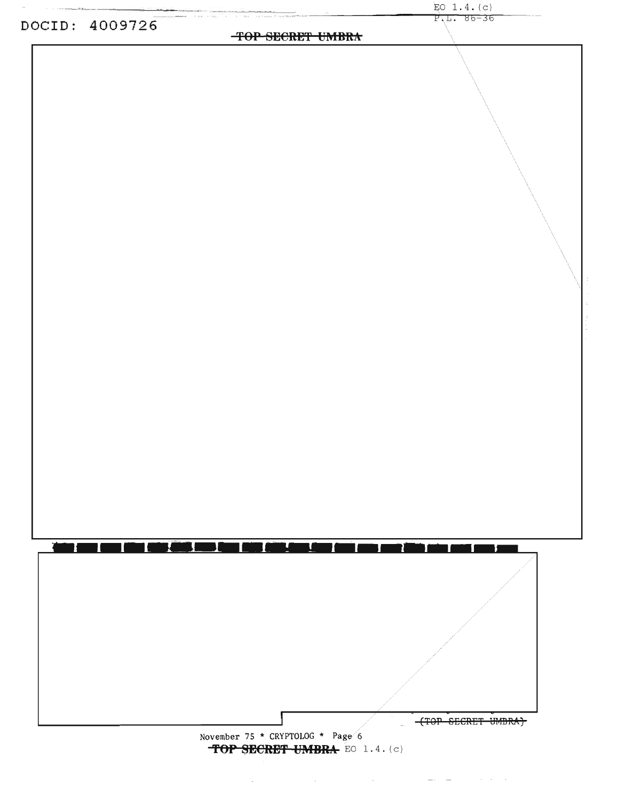

**'fOP SECRE'f UMBRA** EO 1. 4. (c)

 $\sim 10^{-1}$ 

 $\mathcal{L}^{\mathcal{L}}(\mathcal{L}^{\mathcal{L}})$  and  $\mathcal{L}^{\mathcal{L}}(\mathcal{L}^{\mathcal{L}})$  . The contribution of the contribution of  $\mathcal{L}^{\mathcal{L}}$ 

 $EO 1.4. (c)$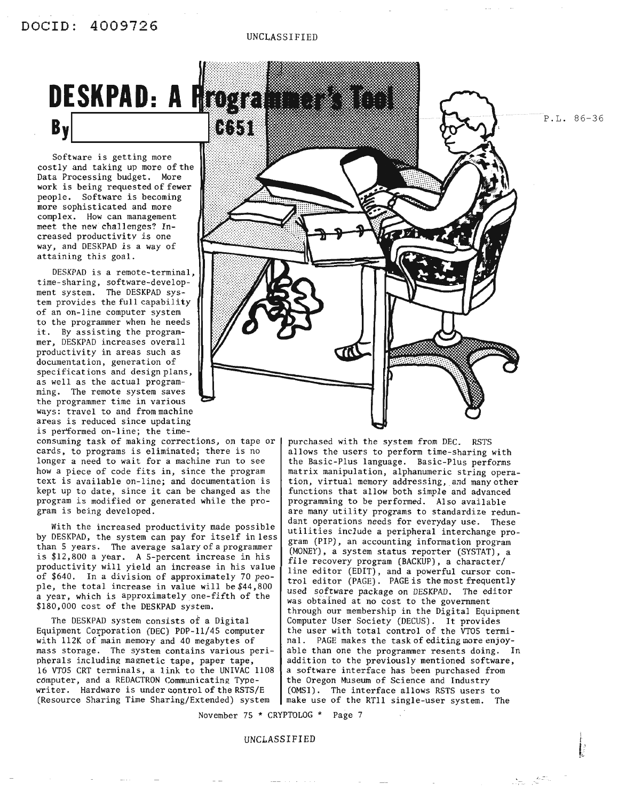#### UNCLASSIFIED



Software is getting more costly and taking up more of the Data Processing budget. More work is being requested of fewer people. Software is becoming more sophisticated and more complex. How can management meet the new challenges? Increased productivity is one way, and DESKPAD is a way of attaining this goal.

DESKPAD is a remote-terminal, time-sharing, software-development system. The DESKPAD system provides the full capability of an on-line computer system to the programmer when he needs it. By assisting the programmer, DESKPAD increases overall productivity in areas such as documentation, generation of specificat ions and design plans, as well as the actual programming. The remote system saves the programmer time in various ways: travel to and from machine areas is reduced since updating is performed on-line; the time-

consuming task of making corrections, on tape or cards, to programs is eliminated; there is no longer a need to wait for a machine run to see how a piece of code fits in, since the program text is available on-line; and documentation is kept up to date, since it can be changed as the program is modified or generated while the program is being developed.

With the increased productivity made possible by DESKPAD, the system can pay for itself in less gram (PIP), an accounting information program  $\frac{1}{2}$  gram (PIP), an accounting information program. is \$12,800 a year. A s-percent increase in his file recovery program (BACKUP), a character/ productivity will yield an increase in his value<br>of \$640. In a division of approximately 70 people, the total increase in value will be  $$44,800$  used software package on DESKPAD. The editor a year, which is approximately one-fifth of the was obtained at no cost to the government<br>\$180,000 cost of the DESKPAD system.

The DESKPAD system consists of a Digital (Computer User Society (DECUS). It provides Equipment Corporation (DEC) PDP-11/45 computer the user with total control of the VTO5 term with 112K of main memory and 40 megabytes of [nal. PAGE makes the task of editing more enjoymass storage. The system contains various peri- able than one the programmer resents doing. In pherals including magnetic tape, paper tape, addition to the previously mentioned software, 16 VTO5 CRT terminals, a link to the UNIVAC 1108 | a software interface has been purchased from computer, and a REDACTRON Communicating Type- | the Oregon Museum of Science and Industry writer. Hardware is under control of the RSTS/E  $(OMSI)$ . The interface allows RSTS users to (Resource Sharing Time Sharing/Extended) system make use of the RT11 single-user system. T



purchased with the system from DEC. RSTS allows the users to perform time-sharing with the Basic-Plus language. Basic-Plus performs matrix manipulation, alphanumeric string operation, virtual memory addressing, and many other functions that allow both simple and advanced programming to be performed. Also available are many utility programs to standardize redundant operations needs for everyday use. These<br>utilities include a peripheral interchange pro-(MONEY), a system status reporter (SYSTAT), a line editor (EDIT), and a powerful cursor control editor (PAGE). PAGE is the most frequently through our membership in the Digital Equipment the user with total control of the VTO5 termimake use of the RT11 single-user system. The

November 75 \* CRYPTOLOG \* Page 7

#### UNCLASSIFIED

P.L. 86-36

 $\sum_{\sigma \in \mathcal{L}(\mathcal{D})} \frac{d\sigma \mathcal{L}_{\mathcal{D}_{\mathcal{D}_{\mathcal{D}}}}}{\sigma^2} \sim \frac{\sigma^2}{\sigma^2}$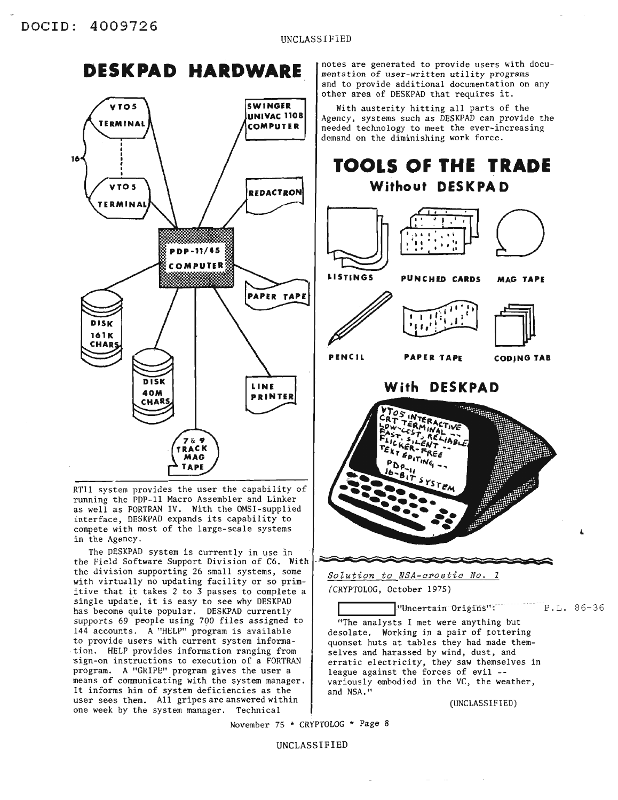## **DESKPAD HARDWARE**



RTII system provides the user the capability of running the PDP-II Macro Assembler and Linker as well as FORTRAN IV. With the OMSI-supplied interface, DESKPAD expands its capability to compete with most of the large-scale systems in the Agency.

The DESKPAD system is currently in use in<br>the Field Software Support Division of C6. With the division supporting 26 small systems, some  $\begin{array}{|l|} \hline \text{Solution to }\text{NSA-c  
rostic No. 1$ with virtually no updating facility or so primitive that it takes 2 to 3 passes to complete a  $(CRYPTOLOG, October 1975)$ single update, it is easy to see why DESKPAD has become quite popular. DESKPAD currently supports 69 people using 700 files assigned to 144 accounts. A "HELP" program is available to provide users with current system informa tion. HELP provides information ranging from 'sign-on instructions to execution of a FORTRAN program. A "GRIPE" program gives the user a means of communicating with the system manager. It informs him of system deficiencies as the user sees them. All gripes are answered within one week by the system manager. Technical

notes are generated to provide users with documentation of user-written utility programs and to provide additional documentation on any other area of DESKPAD that requires it.

With austerity hitting all parts of the Agency, systems such as DESKPAD can provide the needed technology to meet the ever-increasing demand on the diminishing work force.

## $\bigcap$ **LISTINGS PUNCHED CARDS MAG TAPE** / LUIL 1 **TOOLS OF THE TRADE Without DESKPA D**

**PENCIL** PAPER TAPE **CODJNG JAB**

**With DESKPAD**



P.L. 86-36 l"Uncertain Origins": "The analysts I met were anything but desolate. Working in a pair of tottering quonset huts at tables they had made themselves and harassed by wind, dust, and erratic electricity, they saw themselves in league against the forces of evil - variously embodied in the VC, the weather, and NSA."

(UNCLASSIFIED)

November 75 \* CRYPTOLOG \* Page 8

UNCLASSIFIED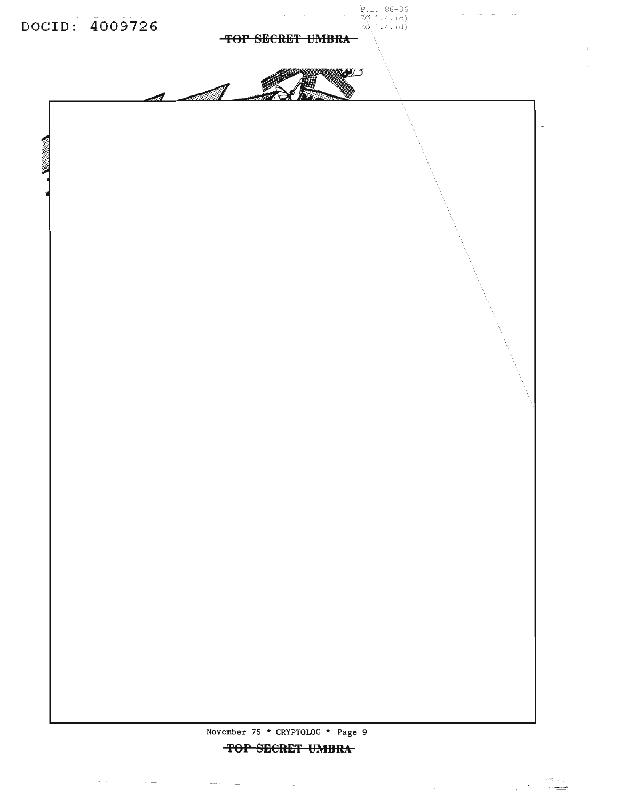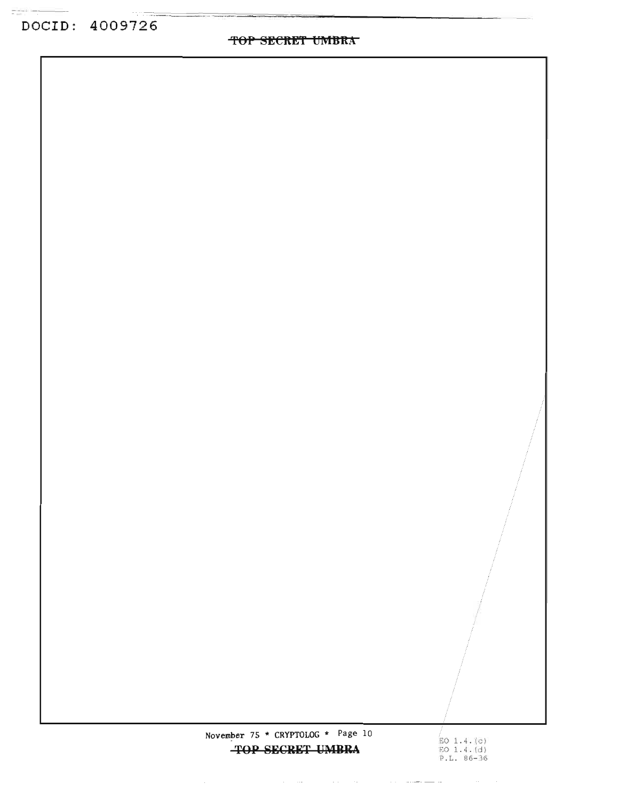~OP **SECftE'f UI'9IBKA**

November 75 \* CRYPTOLOG \* Page 10 **TOP SECRET UMBRA** 

 $\mathcal{L}_{\mathcal{A}}$  is a simple subset of the space of the space of the space of the  $\mathcal{A}$ 

/<br>EO 1.4.(c) EO 1. 4 . (d) P.L. 86-36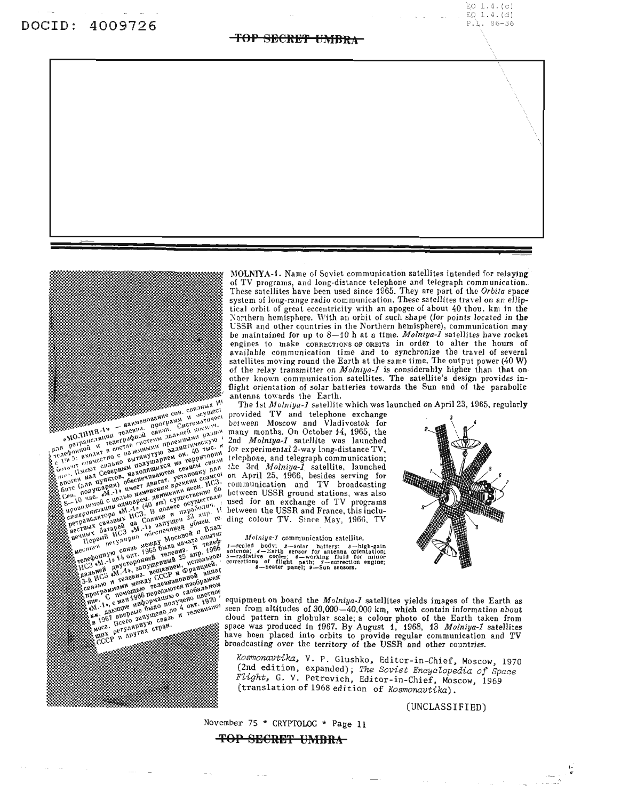#### **'fOP SECRE'f Ul'ffBRA**

 $EO$  1.4. $(c)$  $EQ 1.4. (d)$ P.L. 86-36



The pair in the correction of the main of the contract of the contract of the contract of the contract of the contract of the contract of the contract of the season of the contract of the season of the contract of the se

MOLNIYA-1. Name of Soviet communication satellites intended for relaying of TV programs, and long-distance telephone and telegraph communication. These satellites have been used since 1965. They are part of the Orbita space system of long-range radio communication. These satellites travel on an elliptical orbit of great eccentricity with an apogee of about 40 thou. km in the Northern hemisphere. With an orbit of such shape (for points located in the USSR and other countries in the Northern hemisphere), communication may be maintained for up to 8-10 h at a time. *Molniya-l* satellites have rocket engines to make CORRECTIONS OF ORBITS in order to alter the hours of available communication time *and* to synchronize the travel of several satellites moving round the Earth at the same time. The output power ( $40 W$ ) of the relay transmitter on *Molniya-l* is considerably higher than that on other known communication satellites. The satellite's design provides inflight orientation of solar batteries towards the Sun and of the parabolic antenna towards the Earth.

The 1st *Molniya-1* satellite which was launched on April 23, 1965, regularly

provided TV and telephone exchange bet ween Moscow and Vladivostok for many months. On October 14, 1965, the 2nd *Molniya-l* satellite was launched for experimental 2-way long-distance TV, telephone, and telegraph communication; the 3rd *Molniya-l* satellite, launched on April 25, 1966, besides serving for communication and TV broadcasting Let ween USSR ground stations, was also used for an exchange of TV programs between the USSR and France, this including colour TV. Since May, 1966, TV

*Molniya-I* communication satellite.<br>  $\mu$ -sealed body: 2-solar battery; *3*-high-gain



equipment on board the *Molniya.l* satellites yields images of the Earth as seen from altitudes of 30,000-40,000 km, which contain information about cloud pattern in globular scale; a colour photo of the Earth taken from space was produced in 1967. By August 1, 1968, 13 *Molniya-l* satellites have been placed into orbits to provide regular communication and TV broadcasting over the territory of the USSR and other countries.

Kosmonavtika, V. P. Glushko, Editor-in-Chief, Moscow, 1970 (2~d ed1t10n, expand~d); *The Soviet Encyclopedia of Space* Flight, G. V. Petrovich, Editor-in-Chief, Moscow, 1969 (translation of 1968 edition of *Kosmonavtika). '*

(UNCLASSIFIED)

November 75 \* CRYPTOLOG \* Page 11

#### **'fOP SE€RE'f UMBRA**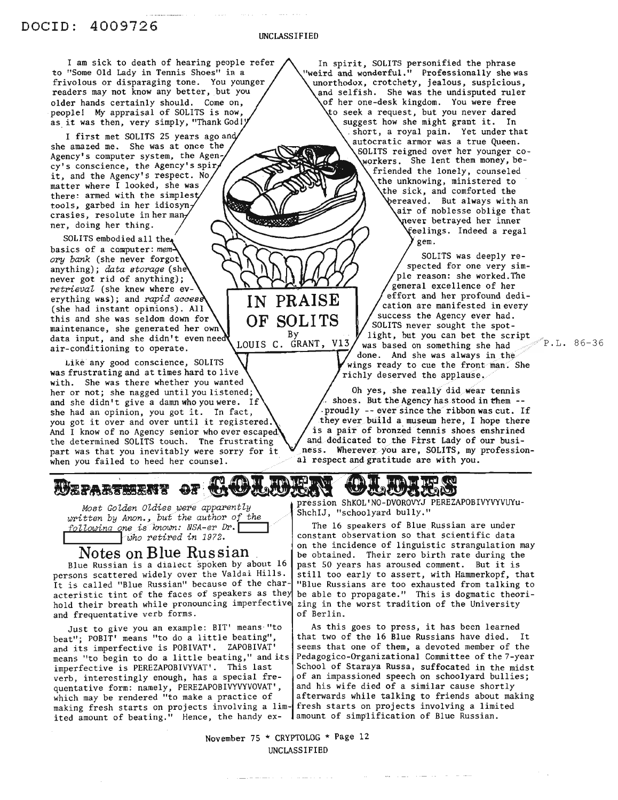UNCLASSIFIED

IN PRAISE OF SOLITS By<br>LOUIS C. GRANT, V13

I am sick to death of hearing people refer to "Some Old Lady in Tennis Shoes" in a frivolous or disparaging tone. You younger readers may not know any better, but you older hands certainly should. Come on, people! My appraisal of SOLITS is now, as it was then, very simply, "Thank Godl'

I first met SOLITS 25 years ago an she amazed me. She was at once the Agency's computer system, the Agency's conscience, the Agency's spir it, and the Agency's respect. No matter where I looked, she was there: armed with the simples tools, garbed in her idiosyn crasies, resolute in her man ner, doing her thing.

SOLITS embodied all the basics of a computer: *mem ory bank* (she never forgot anything); *data storage* (she never got rid of anything); *retrieval* (she knew where everything was); and *rapid acces* (she had instant opinions). All this and she was seldom down for maintenance, she generated her own data input, and she didn't even nee air-conditioning to operate.

Like any good conscience, SOLITS was frustrating and at times hard to live with. She was there whether you wanted her or not; she nagged until you listened; and she didn't give a damn who you were. If she had an opinion, you got it. In fact, you got it over and over until it registered. And I know of no Agency senior who ever escaped the determined SOLITS touch. Tne frustrating part was that you inevitably were sorry for it when you failed to heed her counsel.

In spirit, SOLITS personified the phrase 'weird and wonderful." Professionally she was unorthodox, crotchety, jealous, suspicious, and selfish. She was the undisputed ruler of her one-desk kingdom. You were free to seek a request, but you never dared<br>\ suggest how she might grant it. In short, a royal pain. Yet under that autocratic armor was a true Queen. 60LITS reigned ove~ her younger coworkers. She lent them money, befriended the lonely, counseled the unknowing, ministered to the sick, and comforted the ereaved. But always with an air of noblesse oblige that never betrayed her inner ~elings. Indeed a regal gem.

> SOLITS was deeply respected for one very simple reason: she worked.The general excellence of her effort and her profound dedication are manifested in every success the Agency ever had. SOLITS never sought the spotlight, but you can bet the script was based on something she had  $\degree$ P.L. 86-36 done. And she was always in the wings ready to cue the front man. She richly deserved the applause,

Oh yes, she really did wear tennis shoes. But the Agency has stood in them -proudly -- ever since the ribbon was cut. If they ever build a museum here, I hope there is a pair of bronzed tennis shoes enshrined and dedicated to the First Lady of our business. Wherever you are, SOLITS, my professional respect and gratitude are with you.

*Most Golden Oldies were apparently written by Anon.*, *but* the *author* of the<br> *following one is known: NSA-er Dr.* 

**Notes on Blue Russian**<br>Blue Russian is a dialect spoken by about 16 persons scattered widely over the Valdai Hills. It is called "Blue Russian" because of the characteristic tint of the faces of speakers as the hold their breath while pronouncing imperfective and frequentative verb forms.

Just to give you an example: BIT' means· "to beat"; POBIT' means "to do a little beating", and its imperfective is POBIVAT'. ZAPOBIVAT' means "to begin to do a little beating," and its imperfective is PEREZAPOBIVYVAT'. This last verb, interestingly enough, has a special frequentative form: namely, PEREZAPOBIVYVYVOVAT', which may be rendered "to make a practice of making fresh starts on projects involving a lim-<br>making fresh starts on projects involving a lim-<br>fresh starts on projects involving a limited ited amount of beating." Hence, the handy ex-

pression ShKOL'NO-DVOROVYJ PEREZAPOBIVYVYVUYu-ShchIJ, "schoolyard bully."

The 16 speakers of Blue Russian are under constant observation so that scientific data on the incidence of linguistic strangulation may be obtained. Their zero birth rate during the past <sup>50</sup> years has aroused comment. But it is still too early to assert, with Hammerkopf, that "Blue Russians are too exhausted from talking to be able to propagate." This is dogmatic theorizing in the worst tradition of the University of Berlin.

As this goes to press, it has been learned that two of the 16 Blue Russians have died. It seems that one of them, a devoted member of the Pedagogico-Organizational Committee of the 7-year School of Staraya Russa, suffocated in the midst of an impassioned speech on schoolyard bullies; and his wife died of a similar cause shortly afterwards while talking to friends about making amount of simplification of Blue Russian.

November 75 \* CRYPTOLOG \* Page 12 UNCLASSIFIED

**WEPARTERS' OF <del>UNULLING Y</del> TALINGLE**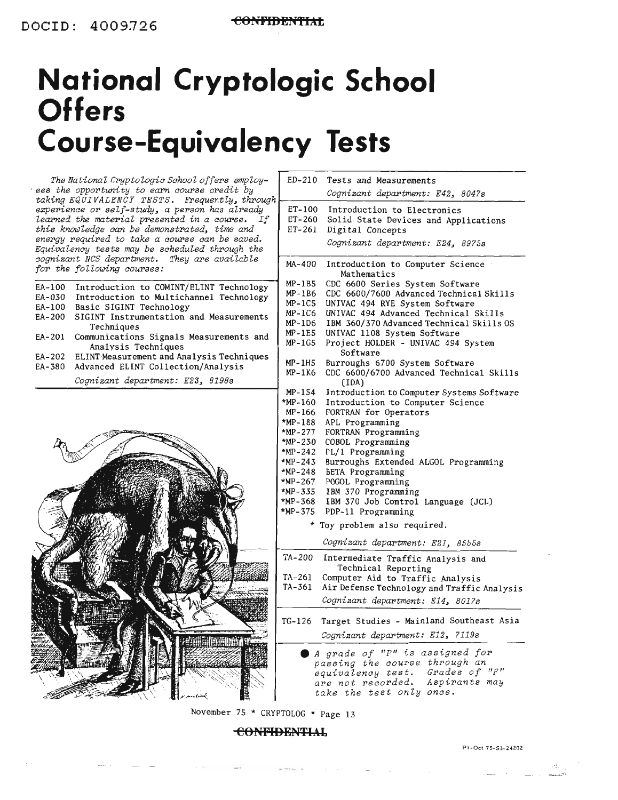## **National Cryptologic School Offers Course-Equivalency Tests**



#### **CONFIDHNTIAJ.**

Pl- Oct 75- 53- 24202